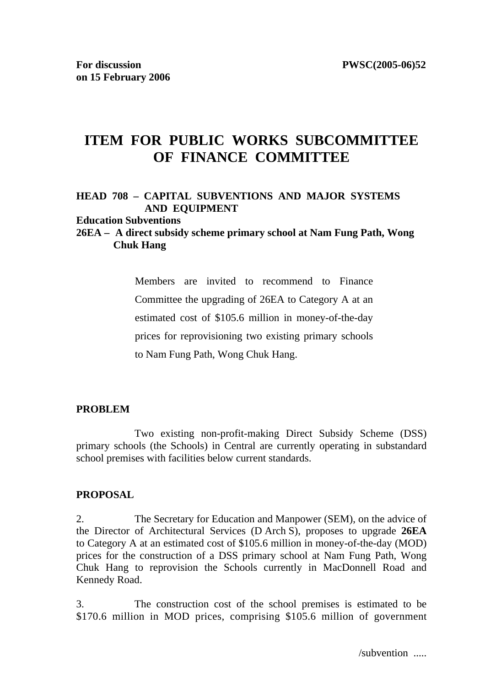# **ITEM FOR PUBLIC WORKS SUBCOMMITTEE OF FINANCE COMMITTEE**

## **HEAD 708 – CAPITAL SUBVENTIONS AND MAJOR SYSTEMS AND EQUIPMENT**

#### **Education Subventions**

## **26EA – A direct subsidy scheme primary school at Nam Fung Path, Wong Chuk Hang**

Members are invited to recommend to Finance Committee the upgrading of 26EA to Category A at an estimated cost of \$105.6 million in money-of-the-day prices for reprovisioning two existing primary schools to Nam Fung Path, Wong Chuk Hang.

## **PROBLEM**

 Two existing non-profit-making Direct Subsidy Scheme (DSS) primary schools (the Schools) in Central are currently operating in substandard school premises with facilities below current standards.

#### **PROPOSAL**

2. The Secretary for Education and Manpower (SEM), on the advice of the Director of Architectural Services (D Arch S), proposes to upgrade **26EA**  to Category A at an estimated cost of \$105.6 million in money-of-the-day (MOD) prices for the construction of a DSS primary school at Nam Fung Path, Wong Chuk Hang to reprovision the Schools currently in MacDonnell Road and Kennedy Road.

3. The construction cost of the school premises is estimated to be \$170.6 million in MOD prices, comprising \$105.6 million of government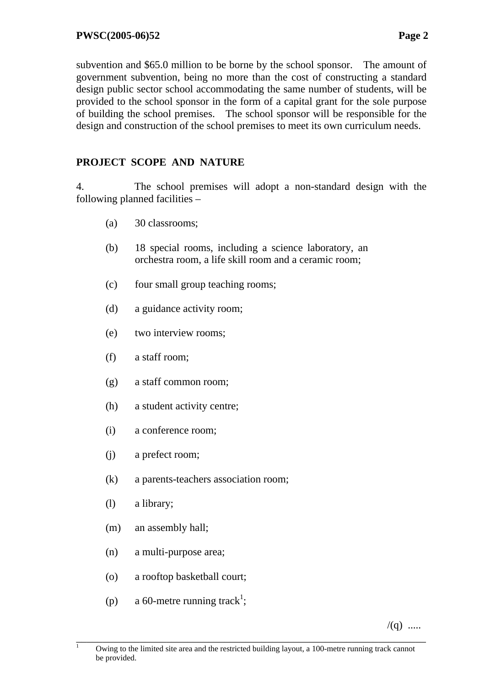subvention and \$65.0 million to be borne by the school sponsor. The amount of government subvention, being no more than the cost of constructing a standard design public sector school accommodating the same number of students, will be provided to the school sponsor in the form of a capital grant for the sole purpose of building the school premises. The school sponsor will be responsible for the design and construction of the school premises to meet its own curriculum needs.

# **PROJECT SCOPE AND NATURE**

4. The school premises will adopt a non-standard design with the following planned facilities –

- (a) 30 classrooms;
- (b) 18 special rooms, including a science laboratory, an orchestra room, a life skill room and a ceramic room;
- (c) four small group teaching rooms;
- (d) a guidance activity room;
- (e) two interview rooms;
- (f) a staff room;
- (g) a staff common room;
- (h) a student activity centre;
- (i) a conference room;
- (j) a prefect room;
- (k) a parents-teachers association room;
- (l) a library;
- (m) an assembly hall;
- (n) a multi-purpose area;
- (o) a rooftop basketball court;
- (p) a 60-metre running track<sup>1</sup>;

 $/(q)$  .....

 $\frac{1}{1}$  Owing to the limited site area and the restricted building layout, a 100-metre running track cannot be provided.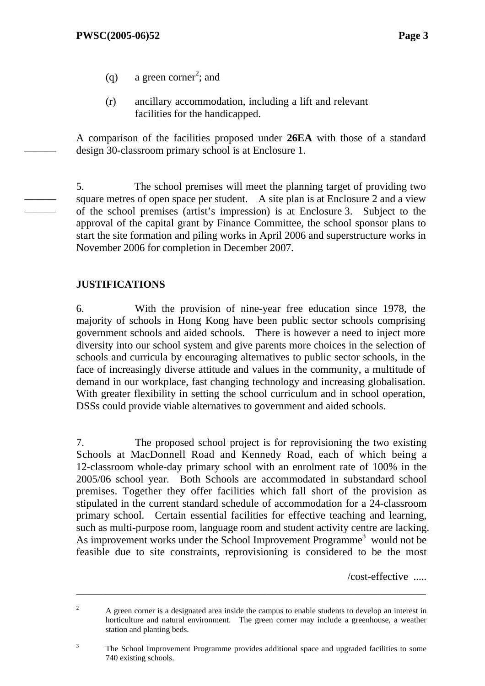———

——— ———

- (q) a green corner<sup>2</sup>; and
- (r) ancillary accommodation, including a lift and relevant facilities for the handicapped.

A comparison of the facilities proposed under **26EA** with those of a standard design 30-classroom primary school is at Enclosure 1.

5. The school premises will meet the planning target of providing two square metres of open space per student. A site plan is at Enclosure 2 and a view of the school premises (artist's impression) is at Enclosure 3. Subject to the approval of the capital grant by Finance Committee, the school sponsor plans to start the site formation and piling works in April 2006 and superstructure works in November 2006 for completion in December 2007.

## **JUSTIFICATIONS**

6. With the provision of nine-year free education since 1978, the majority of schools in Hong Kong have been public sector schools comprising government schools and aided schools. There is however a need to inject more diversity into our school system and give parents more choices in the selection of schools and curricula by encouraging alternatives to public sector schools, in the face of increasingly diverse attitude and values in the community, a multitude of demand in our workplace, fast changing technology and increasing globalisation. With greater flexibility in setting the school curriculum and in school operation, DSSs could provide viable alternatives to government and aided schools.

7. The proposed school project is for reprovisioning the two existing Schools at MacDonnell Road and Kennedy Road, each of which being a 12-classroom whole-day primary school with an enrolment rate of 100% in the 2005/06 school year. Both Schools are accommodated in substandard school premises. Together they offer facilities which fall short of the provision as stipulated in the current standard schedule of accommodation for a 24-classroom primary school. Certain essential facilities for effective teaching and learning, such as multi-purpose room, language room and student activity centre are lacking. As improvement works under the School Improvement Programme<sup>3</sup> would not be feasible due to site constraints, reprovisioning is considered to be the most

/cost-effective .....

2 A green corner is a designated area inside the campus to enable students to develop an interest in horticulture and natural environment. The green corner may include a greenhouse, a weather station and planting beds.

\_\_\_\_\_\_\_\_\_\_\_\_\_\_\_\_\_\_\_\_\_\_\_\_\_\_\_\_\_\_\_\_\_\_\_\_\_\_\_\_\_\_\_\_\_\_\_\_\_\_\_\_\_\_\_\_\_\_\_\_\_\_\_\_\_\_

3 The School Improvement Programme provides additional space and upgraded facilities to some 740 existing schools.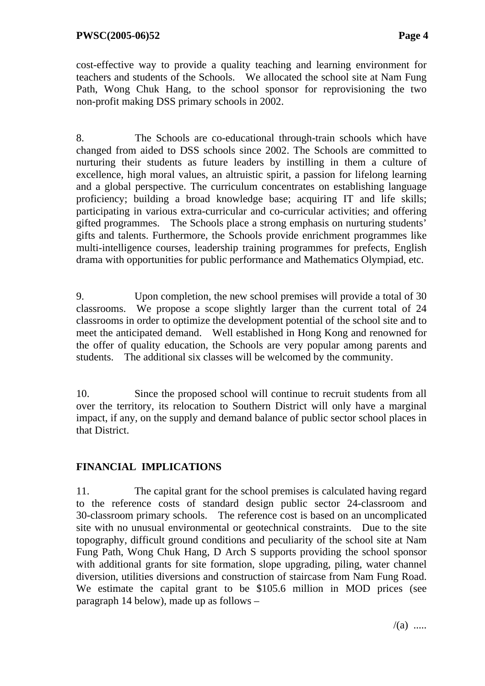cost-effective way to provide a quality teaching and learning environment for teachers and students of the Schools. We allocated the school site at Nam Fung Path, Wong Chuk Hang, to the school sponsor for reprovisioning the two non-profit making DSS primary schools in 2002.

8. The Schools are co-educational through-train schools which have changed from aided to DSS schools since 2002. The Schools are committed to nurturing their students as future leaders by instilling in them a culture of excellence, high moral values, an altruistic spirit, a passion for lifelong learning and a global perspective. The curriculum concentrates on establishing language proficiency; building a broad knowledge base; acquiring IT and life skills; participating in various extra-curricular and co-curricular activities; and offering gifted programmes. The Schools place a strong emphasis on nurturing students' gifts and talents. Furthermore, the Schools provide enrichment programmes like multi-intelligence courses, leadership training programmes for prefects, English drama with opportunities for public performance and Mathematics Olympiad, etc.

9. Upon completion, the new school premises will provide a total of 30 classrooms. We propose a scope slightly larger than the current total of 24 classrooms in order to optimize the development potential of the school site and to meet the anticipated demand. Well established in Hong Kong and renowned for the offer of quality education, the Schools are very popular among parents and students. The additional six classes will be welcomed by the community.

10. Since the proposed school will continue to recruit students from all over the territory, its relocation to Southern District will only have a marginal impact, if any, on the supply and demand balance of public sector school places in that District.

# **FINANCIAL IMPLICATIONS**

11. The capital grant for the school premises is calculated having regard to the reference costs of standard design public sector 24-classroom and 30-classroom primary schools. The reference cost is based on an uncomplicated site with no unusual environmental or geotechnical constraints. Due to the site topography, difficult ground conditions and peculiarity of the school site at Nam Fung Path, Wong Chuk Hang, D Arch S supports providing the school sponsor with additional grants for site formation, slope upgrading, piling, water channel diversion, utilities diversions and construction of staircase from Nam Fung Road. We estimate the capital grant to be \$105.6 million in MOD prices (see paragraph 14 below), made up as follows –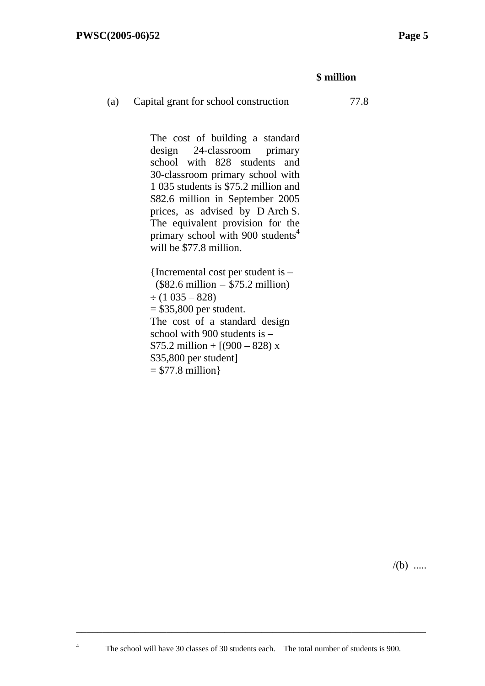4

## **\$ million**

#### (a) Capital grant for school construction 77.8

The cost of building a standard design 24-classroom primary school with 828 students and 30-classroom primary school with 1 035 students is \$75.2 million and \$82.6 million in September 2005 prices, as advised by D Arch S. The equivalent provision for the primary school with 900 students<sup>4</sup> will be \$77.8 million.

{Incremental cost per student is – (\$82.6 million – \$75.2 million)  $\div$  (1 035 – 828)  $=$  \$35,800 per student. The cost of a standard design school with 900 students is –  $$75.2$  million + [(900 – 828) x \$35,800 per student]  $= $77.8 \text{ million}$ 

 $/(b)$  .....

\_\_\_\_\_\_\_\_\_\_\_\_\_\_\_\_\_\_\_\_\_\_\_\_\_\_\_\_\_\_\_\_\_\_\_\_\_\_\_\_\_\_\_\_\_\_\_\_\_\_\_\_\_\_\_\_\_\_\_\_\_\_\_\_\_\_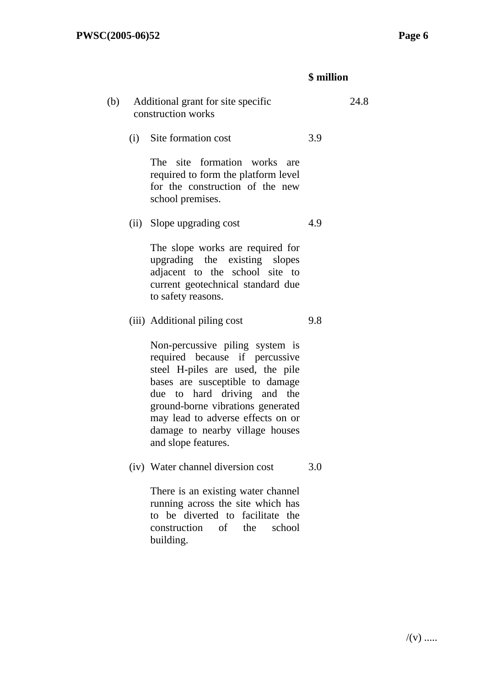# **\$ million**

| (b) | Additional grant for site specific<br>construction works |                                                                                                                                                                                                                                                                                                             | 24.8 |  |
|-----|----------------------------------------------------------|-------------------------------------------------------------------------------------------------------------------------------------------------------------------------------------------------------------------------------------------------------------------------------------------------------------|------|--|
|     |                                                          | (i) Site formation cost                                                                                                                                                                                                                                                                                     | 3.9  |  |
|     |                                                          | The site formation works are<br>required to form the platform level<br>for the construction of the new<br>school premises.                                                                                                                                                                                  |      |  |
|     |                                                          | (ii) Slope upgrading cost                                                                                                                                                                                                                                                                                   | 4.9  |  |
|     |                                                          | The slope works are required for<br>upgrading the existing slopes<br>adjacent to the school site to<br>current geotechnical standard due<br>to safety reasons.                                                                                                                                              |      |  |
|     |                                                          | (iii) Additional piling cost                                                                                                                                                                                                                                                                                | 9.8  |  |
|     |                                                          | Non-percussive piling system is<br>required because if percussive<br>steel H-piles are used, the pile<br>bases are susceptible to damage<br>due to hard driving and the<br>ground-borne vibrations generated<br>may lead to adverse effects on or<br>damage to nearby village houses<br>and slope features. |      |  |
|     |                                                          | (iv) Water channel diversion cost                                                                                                                                                                                                                                                                           | 3.0  |  |
|     |                                                          | There is an existing water channel<br>running across the site which has<br>to be diverted to facilitate the<br>construction of the<br>school<br>building.                                                                                                                                                   |      |  |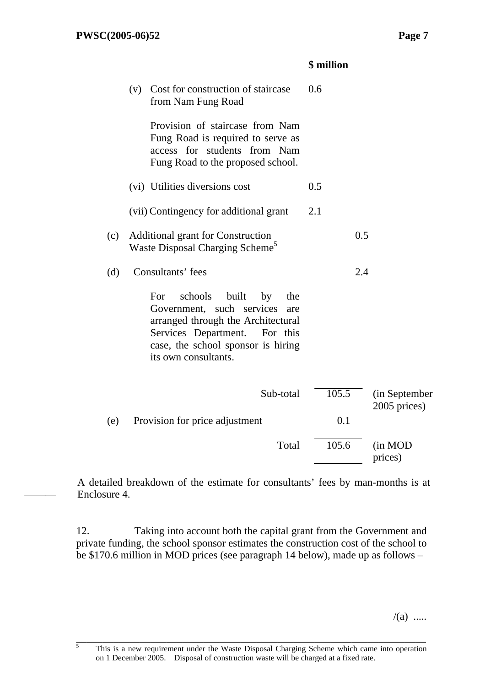———

#### **\$ million**

|     | (v) | Cost for construction of staircase<br>from Nam Fung Road                                                                                                                                                         | 0.6   |     |                                |
|-----|-----|------------------------------------------------------------------------------------------------------------------------------------------------------------------------------------------------------------------|-------|-----|--------------------------------|
|     |     | Provision of staircase from Nam<br>Fung Road is required to serve as<br>access for students from Nam<br>Fung Road to the proposed school.                                                                        |       |     |                                |
|     |     | (vi) Utilities diversions cost                                                                                                                                                                                   | 0.5   |     |                                |
|     |     | (vii) Contingency for additional grant                                                                                                                                                                           | 2.1   |     |                                |
| (c) |     | <b>Additional grant for Construction</b><br>Waste Disposal Charging Scheme <sup>5</sup>                                                                                                                          |       | 0.5 |                                |
| (d) |     | Consultants' fees                                                                                                                                                                                                |       | 2.4 |                                |
|     |     | schools<br>built<br>For<br>by<br>the<br>Government, such services<br>are<br>arranged through the Architectural<br>Services Department.<br>For this<br>case, the school sponsor is hiring<br>its own consultants. |       |     |                                |
|     |     | Sub-total                                                                                                                                                                                                        | 105.5 |     | (in September)<br>2005 prices) |
| (e) |     | Provision for price adjustment                                                                                                                                                                                   | 0.1   |     |                                |
|     |     | Total                                                                                                                                                                                                            | 105.6 |     | (in MOD                        |

A detailed breakdown of the estimate for consultants' fees by man-months is at Enclosure 4.

12. Taking into account both the capital grant from the Government and private funding, the school sponsor estimates the construction cost of the school to be \$170.6 million in MOD prices (see paragraph 14 below), made up as follows –

 $/(a)$  .....

prices)

<sup>&</sup>lt;sup>5</sup> This is a new requirement under the Waste Disposal Charging Scheme which came into operation on 1 December 2005. Disposal of construction waste will be charged at a fixed rate.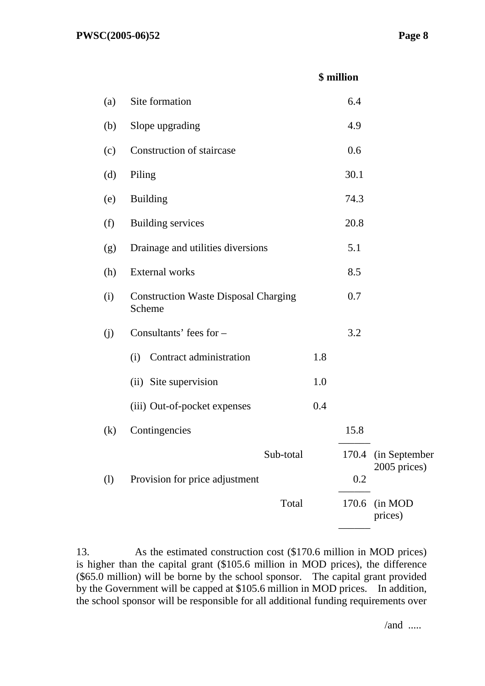## **\$ million**

| (a) | Site formation                                        |     | 6.4   |                                     |
|-----|-------------------------------------------------------|-----|-------|-------------------------------------|
| (b) | Slope upgrading                                       |     | 4.9   |                                     |
| (c) | Construction of staircase                             |     | 0.6   |                                     |
| (d) | Piling                                                |     | 30.1  |                                     |
| (e) | <b>Building</b>                                       |     | 74.3  |                                     |
| (f) | <b>Building services</b>                              |     | 20.8  |                                     |
| (g) | Drainage and utilities diversions                     |     | 5.1   |                                     |
| (h) | <b>External works</b>                                 |     | 8.5   |                                     |
| (i) | <b>Construction Waste Disposal Charging</b><br>Scheme |     | 0.7   |                                     |
| (j) | Consultants' fees for -                               |     | 3.2   |                                     |
|     | Contract administration<br>(i)                        | 1.8 |       |                                     |
|     | (ii) Site supervision                                 | 1.0 |       |                                     |
|     | (iii) Out-of-pocket expenses                          | 0.4 |       |                                     |
| (k) | Contingencies                                         |     | 15.8  |                                     |
|     | Sub-total                                             |     |       | 170.4 (in September<br>2005 prices) |
| (1) | Provision for price adjustment                        |     | 0.2   |                                     |
|     | Total                                                 |     | 170.6 | (in MOD<br>prices)                  |
|     |                                                       |     |       |                                     |

13. As the estimated construction cost (\$170.6 million in MOD prices) is higher than the capital grant (\$105.6 million in MOD prices), the difference (\$65.0 million) will be borne by the school sponsor. The capital grant provided by the Government will be capped at \$105.6 million in MOD prices. In addition, the school sponsor will be responsible for all additional funding requirements over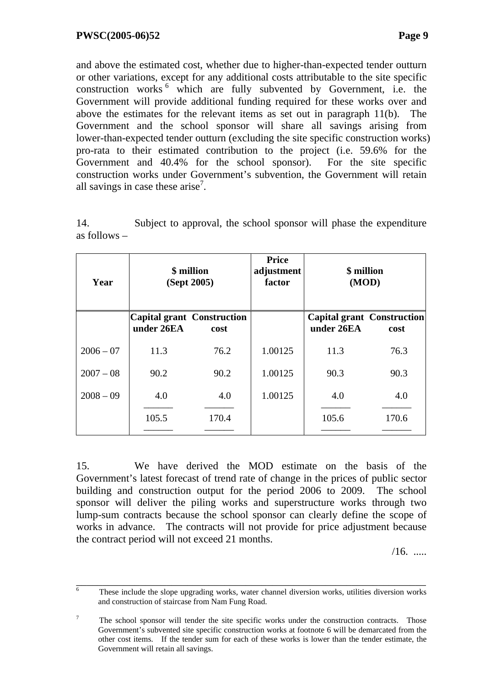and above the estimated cost, whether due to higher-than-expected tender outturn or other variations, except for any additional costs attributable to the site specific construction works<sup>6</sup> which are fully subvented by Government, i.e. the Government will provide additional funding required for these works over and above the estimates for the relevant items as set out in paragraph 11(b). The Government and the school sponsor will share all savings arising from lower-than-expected tender outturn (excluding the site specific construction works) pro-rata to their estimated contribution to the project (i.e. 59.6% for the Government and 40.4% for the school sponsor). For the site specific construction works under Government's subvention, the Government will retain all savings in case these arise<sup>7</sup>.

14. Subject to approval, the school sponsor will phase the expenditure as follows –

| Year        | \$ million<br>(Sept 2005) |                                           | <b>Price</b><br>adjustment<br>factor | \$ million<br>(MOD) |                                           |  |
|-------------|---------------------------|-------------------------------------------|--------------------------------------|---------------------|-------------------------------------------|--|
|             | under 26EA                | <b>Capital grant Construction</b><br>cost |                                      | under 26EA          | <b>Capital grant Construction</b><br>cost |  |
| $2006 - 07$ | 11.3                      | 76.2                                      | 1.00125                              | 11.3                | 76.3                                      |  |
| $2007 - 08$ | 90.2                      | 90.2                                      | 1.00125                              | 90.3                | 90.3                                      |  |
| $2008 - 09$ | 4.0                       | 4.0                                       | 1.00125                              | 4.0                 | 4.0                                       |  |
|             | 105.5                     | 170.4                                     |                                      | 105.6               | 170.6                                     |  |

15. We have derived the MOD estimate on the basis of the Government's latest forecast of trend rate of change in the prices of public sector building and construction output for the period 2006 to 2009. The school sponsor will deliver the piling works and superstructure works through two lump-sum contracts because the school sponsor can clearly define the scope of works in advance. The contracts will not provide for price adjustment because the contract period will not exceed 21 months.

 $/16.$  ......

These include the slope upgrading works, water channel diversion works, utilities diversion works and construction of staircase from Nam Fung Road.

<sup>7</sup> The school sponsor will tender the site specific works under the construction contracts. Those Government's subvented site specific construction works at footnote 6 will be demarcated from the other cost items. If the tender sum for each of these works is lower than the tender estimate, the Government will retain all savings.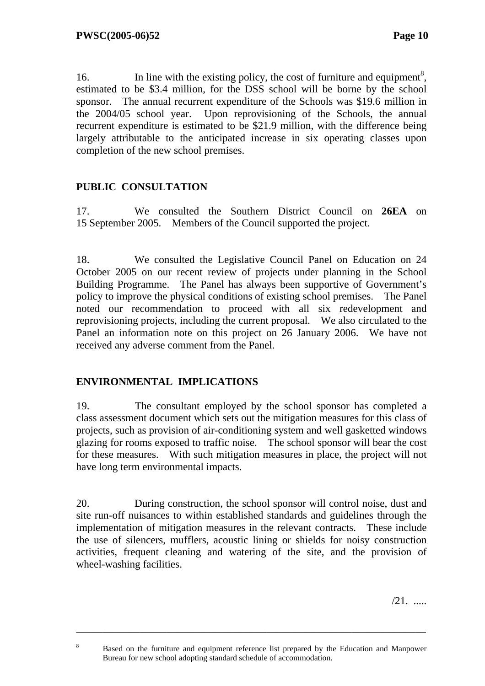16. In line with the existing policy, the cost of furniture and equipment<sup>8</sup>, estimated to be \$3.4 million, for the DSS school will be borne by the school sponsor. The annual recurrent expenditure of the Schools was \$19.6 million in the 2004/05 school year. Upon reprovisioning of the Schools, the annual recurrent expenditure is estimated to be \$21.9 million, with the difference being largely attributable to the anticipated increase in six operating classes upon completion of the new school premises.

## **PUBLIC CONSULTATION**

17. We consulted the Southern District Council on **26EA** on 15 September 2005. Members of the Council supported the project.

18. We consulted the Legislative Council Panel on Education on 24 October 2005 on our recent review of projects under planning in the School Building Programme. The Panel has always been supportive of Government's policy to improve the physical conditions of existing school premises. The Panel noted our recommendation to proceed with all six redevelopment and reprovisioning projects, including the current proposal. We also circulated to the Panel an information note on this project on 26 January 2006. We have not received any adverse comment from the Panel.

## **ENVIRONMENTAL IMPLICATIONS**

8

19. The consultant employed by the school sponsor has completed a class assessment document which sets out the mitigation measures for this class of projects, such as provision of air-conditioning system and well gasketted windows glazing for rooms exposed to traffic noise. The school sponsor will bear the cost for these measures. With such mitigation measures in place, the project will not have long term environmental impacts.

20. During construction, the school sponsor will control noise, dust and site run-off nuisances to within established standards and guidelines through the implementation of mitigation measures in the relevant contracts. These include the use of silencers, mufflers, acoustic lining or shields for noisy construction activities, frequent cleaning and watering of the site, and the provision of wheel-washing facilities.

/21. .....

\_\_\_\_\_\_\_\_\_\_\_\_\_\_\_\_\_\_\_\_\_\_\_\_\_\_\_\_\_\_\_\_\_\_\_\_\_\_\_\_\_\_\_\_\_\_\_\_\_\_\_\_\_\_\_\_\_\_\_\_\_\_\_\_\_\_

Based on the furniture and equipment reference list prepared by the Education and Manpower Bureau for new school adopting standard schedule of accommodation.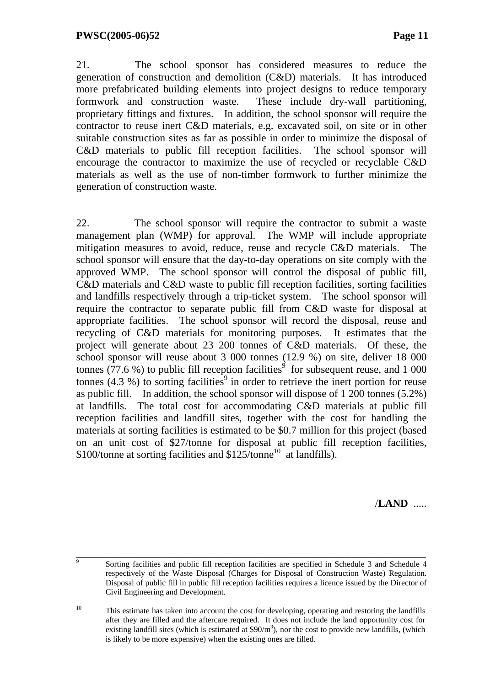21. The school sponsor has considered measures to reduce the generation of construction and demolition (C&D) materials. It has introduced more prefabricated building elements into project designs to reduce temporary formwork and construction waste. These include dry-wall partitioning, proprietary fittings and fixtures. In addition, the school sponsor will require the contractor to reuse inert C&D materials, e.g. excavated soil, on site or in other suitable construction sites as far as possible in order to minimize the disposal of C&D materials to public fill reception facilities. The school sponsor will encourage the contractor to maximize the use of recycled or recyclable C&D materials as well as the use of non-timber formwork to further minimize the generation of construction waste.

22. The school sponsor will require the contractor to submit a waste management plan (WMP) for approval. The WMP will include appropriate mitigation measures to avoid, reduce, reuse and recycle C&D materials. The school sponsor will ensure that the day-to-day operations on site comply with the approved WMP. The school sponsor will control the disposal of public fill, C&D materials and C&D waste to public fill reception facilities, sorting facilities and landfills respectively through a trip-ticket system. The school sponsor will require the contractor to separate public fill from C&D waste for disposal at appropriate facilities. The school sponsor will record the disposal, reuse and recycling of C&D materials for monitoring purposes. It estimates that the project will generate about 23 200 tonnes of C&D materials. Of these, the school sponsor will reuse about 3 000 tonnes (12.9 %) on site, deliver 18 000 tonnes  $(77.6\%)$  to public fill reception facilities<sup>9</sup> for subsequent reuse, and 1 000 tonnes  $(4.3, %)$  to sorting facilities<sup>9</sup> in order to retrieve the inert portion for reuse as public fill. In addition, the school sponsor will dispose of 1 200 tonnes (5.2%) at landfills. The total cost for accommodating C&D materials at public fill reception facilities and landfill sites, together with the cost for handling the materials at sorting facilities is estimated to be \$0.7 million for this project (based on an unit cost of \$27/tonne for disposal at public fill reception facilities, \$100/tonne at sorting facilities and \$125/tonne<sup>10</sup> at landfills).

/**LAND** .....

<sup>10</sup> This estimate has taken into account the cost for developing, operating and restoring the landfills after they are filled and the aftercare required. It does not include the land opportunity cost for existing landfill sites (which is estimated at  $$90/m^3$ ), nor the cost to provide new landfills, (which is likely to be more expensive) when the existing ones are filled.

<sup>&</sup>lt;sup>9</sup><br>Sorting facilities and public fill reception facilities are specified in Schedule 3 and Schedule 4 respectively of the Waste Disposal (Charges for Disposal of Construction Waste) Regulation. Disposal of public fill in public fill reception facilities requires a licence issued by the Director of Civil Engineering and Development.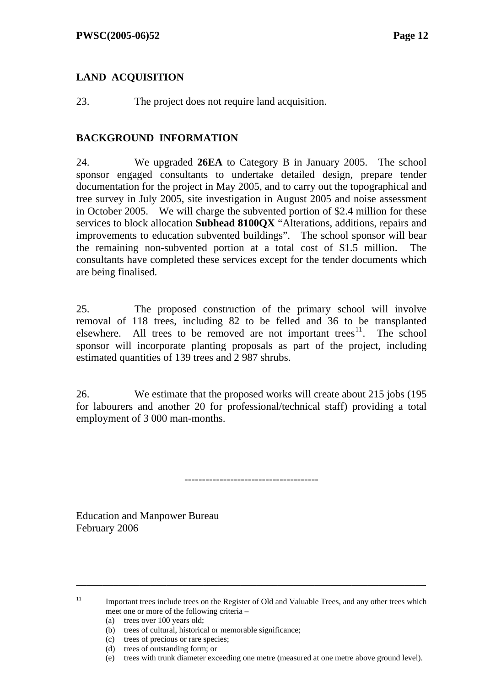## **LAND ACQUISITION**

23. The project does not require land acquisition.

## **BACKGROUND INFORMATION**

24. We upgraded **26EA** to Category B in January 2005. The school sponsor engaged consultants to undertake detailed design, prepare tender documentation for the project in May 2005, and to carry out the topographical and tree survey in July 2005, site investigation in August 2005 and noise assessment in October 2005. We will charge the subvented portion of \$2.4 million for these services to block allocation **Subhead 8100QX** "Alterations, additions, repairs and improvements to education subvented buildings". The school sponsor will bear the remaining non-subvented portion at a total cost of \$1.5 million. The consultants have completed these services except for the tender documents which are being finalised.

25. The proposed construction of the primary school will involve removal of 118 trees, including 82 to be felled and 36 to be transplanted elsewhere. All trees to be removed are not important trees<sup>11</sup>. The school sponsor will incorporate planting proposals as part of the project, including estimated quantities of 139 trees and 2 987 shrubs.

26. We estimate that the proposed works will create about 215 jobs (195 for labourers and another 20 for professional/technical staff) providing a total employment of 3 000 man-months.

--------------------------------------

Education and Manpower Bureau February 2006

\_\_\_\_\_\_\_\_\_\_\_\_\_\_\_\_\_\_\_\_\_\_\_\_\_\_\_\_\_\_\_\_\_\_\_\_\_\_\_\_\_\_\_\_\_\_\_\_\_\_\_\_\_\_\_\_\_\_\_\_\_\_\_\_\_\_

<sup>&</sup>lt;sup>11</sup> Important trees include trees on the Register of Old and Valuable Trees, and any other trees which meet one or more of the following criteria –

<sup>(</sup>a) trees over 100 years old;

<sup>(</sup>b) trees of cultural, historical or memorable significance;

<sup>(</sup>c) trees of precious or rare species;

<sup>(</sup>d) trees of outstanding form; or

<sup>(</sup>e) trees with trunk diameter exceeding one metre (measured at one metre above ground level).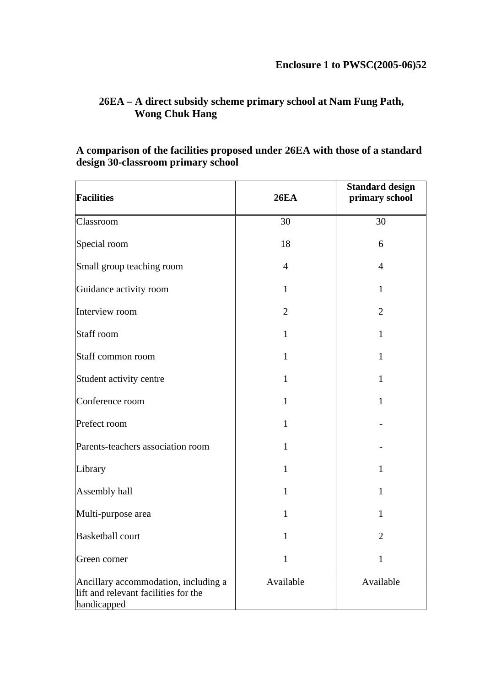# **26EA – A direct subsidy scheme primary school at Nam Fung Path, Wong Chuk Hang**

## **A comparison of the facilities proposed under 26EA with those of a standard design 30-classroom primary school**

| <b>Facilities</b>                                                                           | <b>26EA</b>    | <b>Standard design</b><br>primary school |
|---------------------------------------------------------------------------------------------|----------------|------------------------------------------|
| Classroom                                                                                   | 30             | 30                                       |
| Special room                                                                                | 18             | 6                                        |
| Small group teaching room                                                                   | $\overline{4}$ | $\overline{4}$                           |
| Guidance activity room                                                                      | $\mathbf{1}$   | 1                                        |
| Interview room                                                                              | $\overline{2}$ | $\overline{2}$                           |
| Staff room                                                                                  | 1              | $\mathbf{1}$                             |
| Staff common room                                                                           | $\mathbf{1}$   | $\mathbf{1}$                             |
| Student activity centre                                                                     | $\mathbf{1}$   | $\mathbf{1}$                             |
| Conference room                                                                             | $\mathbf{1}$   | $\mathbf{1}$                             |
| Prefect room                                                                                | 1              |                                          |
| Parents-teachers association room                                                           | $\mathbf{1}$   |                                          |
| Library                                                                                     | $\mathbf{1}$   | $\mathbf{1}$                             |
| Assembly hall                                                                               | 1              | 1                                        |
| Multi-purpose area                                                                          | $\mathbf{1}$   | $\mathbf{1}$                             |
| <b>Basketball court</b>                                                                     | 1              | 2                                        |
| Green corner                                                                                | 1              | 1                                        |
| Ancillary accommodation, including a<br>lift and relevant facilities for the<br>handicapped | Available      | Available                                |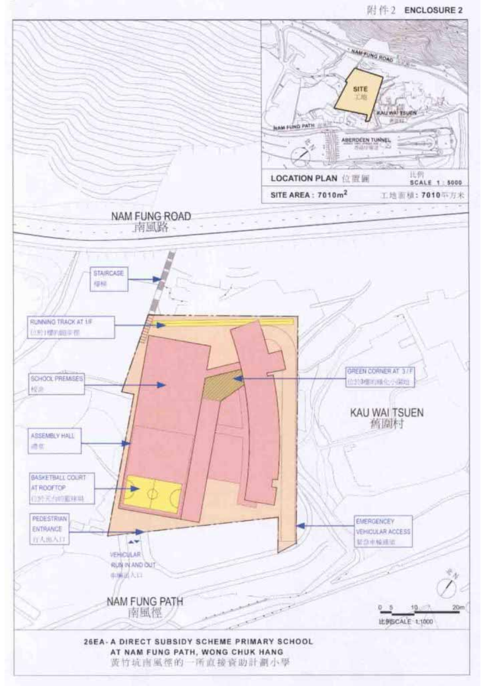#### 附件2 ENCLOSURE 2

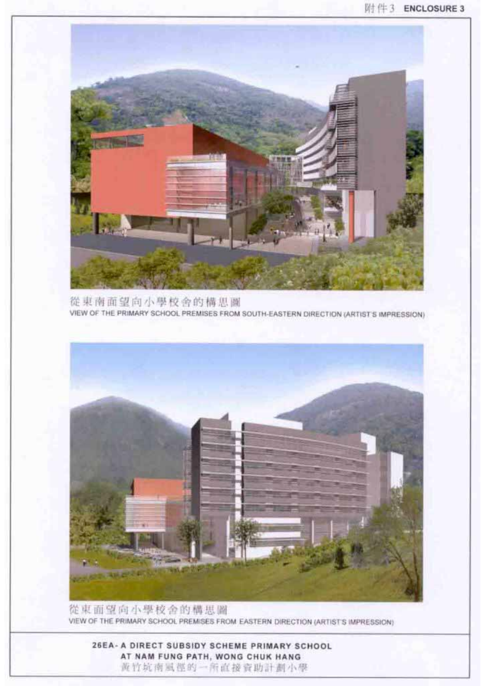26EA- A DIRECT SUBSIDY SCHEME PRIMARY SCHOOL AT NAM FUNG PATH, WONG CHUK HANG 黄竹坑南風徑的一所直接資助計劃小學



從東面望向小學校舍的構思圖 VIEW OF THE PRIMARY SCHOOL PREMISES FROM EASTERN DIRECTION (ARTISTS IMPRESSION)

從東南面望向小學校舍的構思圖 VIEW OF THE PRIMARY SCHOOL PREMISES FROM SOUTH-EASTERN DIRECTION (ARTIST'S IMPRESSION)